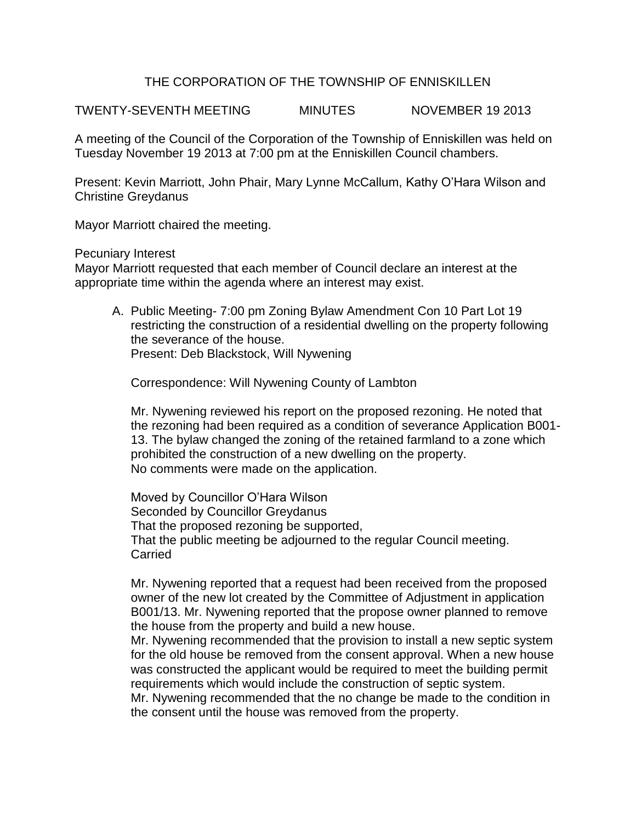## THE CORPORATION OF THE TOWNSHIP OF ENNISKILLEN

TWENTY-SEVENTH MEETING MINUTES NOVEMBER 19 2013

A meeting of the Council of the Corporation of the Township of Enniskillen was held on Tuesday November 19 2013 at 7:00 pm at the Enniskillen Council chambers.

Present: Kevin Marriott, John Phair, Mary Lynne McCallum, Kathy O'Hara Wilson and Christine Greydanus

Mayor Marriott chaired the meeting.

Pecuniary Interest

Mayor Marriott requested that each member of Council declare an interest at the appropriate time within the agenda where an interest may exist.

A. Public Meeting- 7:00 pm Zoning Bylaw Amendment Con 10 Part Lot 19 restricting the construction of a residential dwelling on the property following the severance of the house. Present: Deb Blackstock, Will Nywening

Correspondence: Will Nywening County of Lambton

Mr. Nywening reviewed his report on the proposed rezoning. He noted that the rezoning had been required as a condition of severance Application B001- 13. The bylaw changed the zoning of the retained farmland to a zone which prohibited the construction of a new dwelling on the property. No comments were made on the application.

Moved by Councillor O'Hara Wilson Seconded by Councillor Greydanus That the proposed rezoning be supported, That the public meeting be adjourned to the regular Council meeting. **Carried** 

Mr. Nywening reported that a request had been received from the proposed owner of the new lot created by the Committee of Adjustment in application B001/13. Mr. Nywening reported that the propose owner planned to remove the house from the property and build a new house.

Mr. Nywening recommended that the provision to install a new septic system for the old house be removed from the consent approval. When a new house was constructed the applicant would be required to meet the building permit requirements which would include the construction of septic system.

Mr. Nywening recommended that the no change be made to the condition in the consent until the house was removed from the property.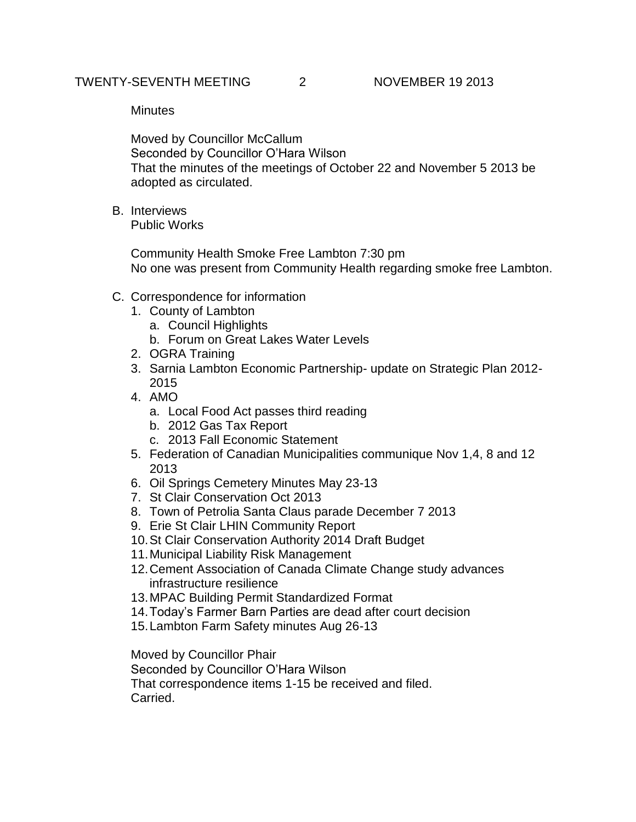**Minutes** 

Moved by Councillor McCallum Seconded by Councillor O'Hara Wilson That the minutes of the meetings of October 22 and November 5 2013 be adopted as circulated.

B. Interviews Public Works

> Community Health Smoke Free Lambton 7:30 pm No one was present from Community Health regarding smoke free Lambton.

- C. Correspondence for information
	- 1. County of Lambton
		- a. Council Highlights
		- b. Forum on Great Lakes Water Levels
	- 2. OGRA Training
	- 3. Sarnia Lambton Economic Partnership- update on Strategic Plan 2012- 2015
	- 4. AMO
		- a. Local Food Act passes third reading
		- b. 2012 Gas Tax Report
		- c. 2013 Fall Economic Statement
	- 5. Federation of Canadian Municipalities communique Nov 1,4, 8 and 12 2013
	- 6. Oil Springs Cemetery Minutes May 23-13
	- 7. St Clair Conservation Oct 2013
	- 8. Town of Petrolia Santa Claus parade December 7 2013
	- 9. Erie St Clair LHIN Community Report
	- 10.St Clair Conservation Authority 2014 Draft Budget
	- 11.Municipal Liability Risk Management
	- 12.Cement Association of Canada Climate Change study advances infrastructure resilience
	- 13.MPAC Building Permit Standardized Format
	- 14.Today's Farmer Barn Parties are dead after court decision
	- 15.Lambton Farm Safety minutes Aug 26-13

Moved by Councillor Phair

Seconded by Councillor O'Hara Wilson

That correspondence items 1-15 be received and filed. Carried.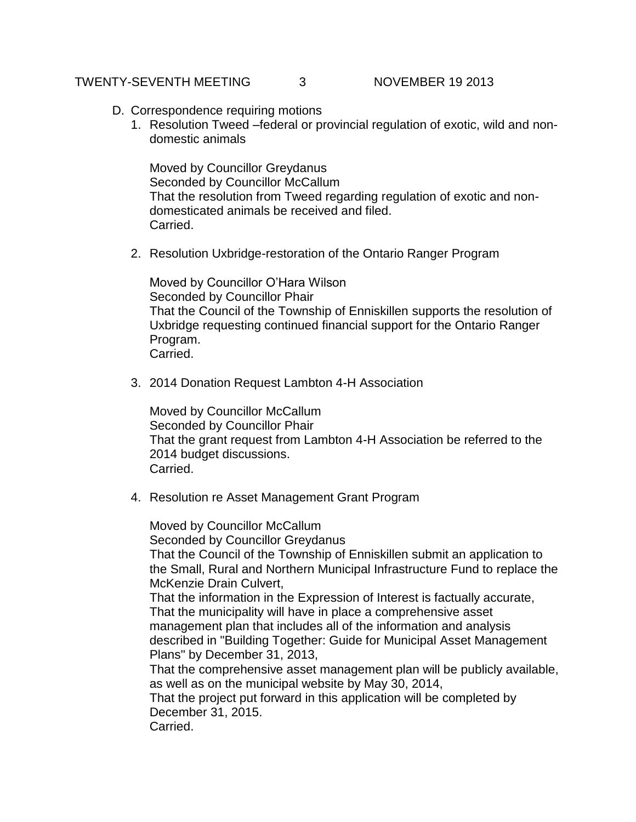### TWENTY-SEVENTH MEETING  $\qquad \qquad 3 \qquad \qquad N$ OVEMBER 19 2013

- D. Correspondence requiring motions
	- 1. Resolution Tweed –federal or provincial regulation of exotic, wild and nondomestic animals

Moved by Councillor Greydanus Seconded by Councillor McCallum That the resolution from Tweed regarding regulation of exotic and nondomesticated animals be received and filed. Carried.

2. Resolution Uxbridge-restoration of the Ontario Ranger Program

Moved by Councillor O'Hara Wilson Seconded by Councillor Phair That the Council of the Township of Enniskillen supports the resolution of Uxbridge requesting continued financial support for the Ontario Ranger Program. Carried.

3. 2014 Donation Request Lambton 4-H Association

Moved by Councillor McCallum Seconded by Councillor Phair That the grant request from Lambton 4-H Association be referred to the 2014 budget discussions. Carried.

4. Resolution re Asset Management Grant Program

Moved by Councillor McCallum Seconded by Councillor Greydanus That the Council of the Township of Enniskillen submit an application to the Small, Rural and Northern Municipal Infrastructure Fund to replace the McKenzie Drain Culvert, That the information in the Expression of Interest is factually accurate, That the municipality will have in place a comprehensive asset management plan that includes all of the information and analysis described in "Building Together: Guide for Municipal Asset Management Plans" by December 31, 2013, That the comprehensive asset management plan will be publicly available, as well as on the municipal website by May 30, 2014, That the project put forward in this application will be completed by December 31, 2015. Carried.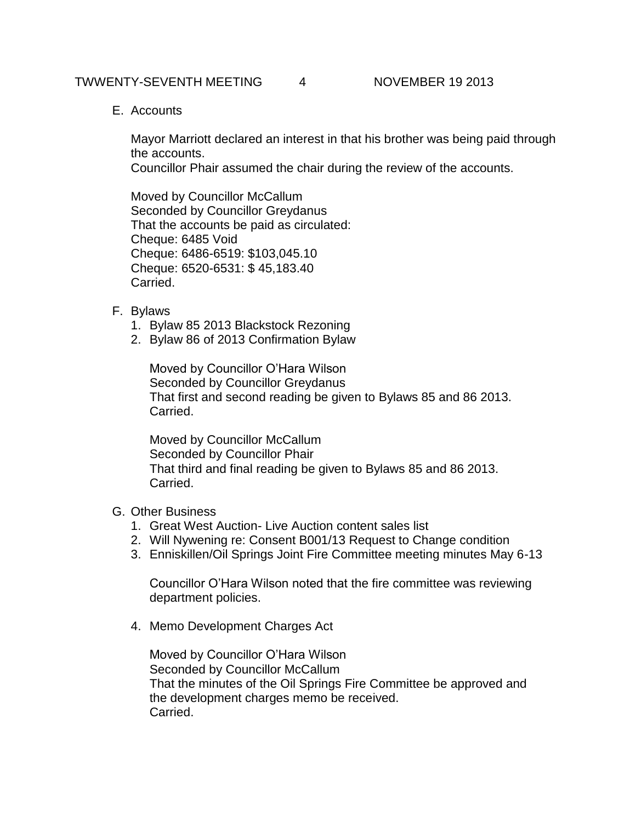#### TWWENTY-SEVENTH MEETING 4 NOVEMBER 19 2013

E. Accounts

Mayor Marriott declared an interest in that his brother was being paid through the accounts.

Councillor Phair assumed the chair during the review of the accounts.

Moved by Councillor McCallum Seconded by Councillor Greydanus That the accounts be paid as circulated: Cheque: 6485 Void Cheque: 6486-6519: \$103,045.10 Cheque: 6520-6531: \$ 45,183.40 Carried.

- F. Bylaws
	- 1. Bylaw 85 2013 Blackstock Rezoning
	- 2. Bylaw 86 of 2013 Confirmation Bylaw

Moved by Councillor O'Hara Wilson Seconded by Councillor Greydanus That first and second reading be given to Bylaws 85 and 86 2013. Carried.

Moved by Councillor McCallum Seconded by Councillor Phair That third and final reading be given to Bylaws 85 and 86 2013. Carried.

## G. Other Business

- 1. Great West Auction- Live Auction content sales list
- 2. Will Nywening re: Consent B001/13 Request to Change condition
- 3. Enniskillen/Oil Springs Joint Fire Committee meeting minutes May 6-13

Councillor O'Hara Wilson noted that the fire committee was reviewing department policies.

4. Memo Development Charges Act

Moved by Councillor O'Hara Wilson Seconded by Councillor McCallum That the minutes of the Oil Springs Fire Committee be approved and the development charges memo be received. Carried.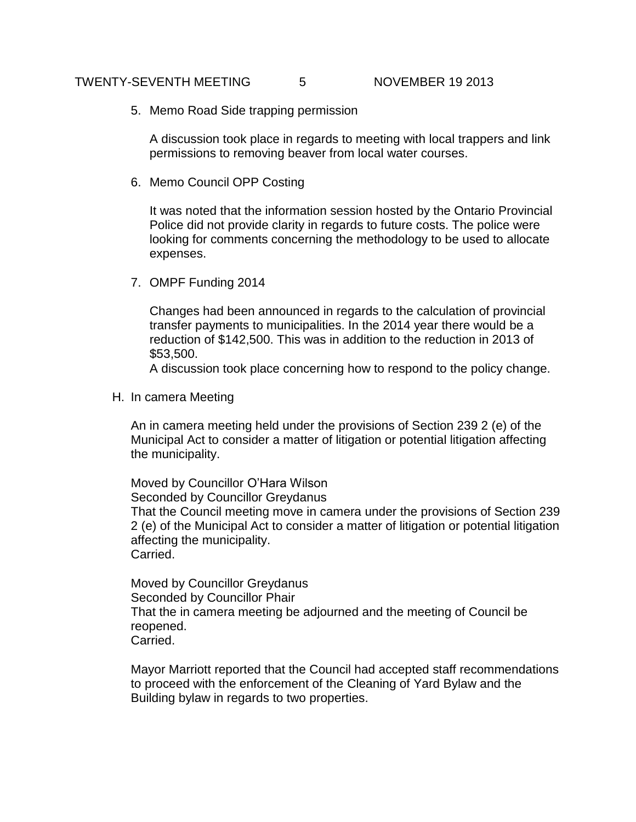#### TWENTY-SEVENTH MEETING 5 NOVEMBER 19 2013

5. Memo Road Side trapping permission

A discussion took place in regards to meeting with local trappers and link permissions to removing beaver from local water courses.

6. Memo Council OPP Costing

It was noted that the information session hosted by the Ontario Provincial Police did not provide clarity in regards to future costs. The police were looking for comments concerning the methodology to be used to allocate expenses.

7. OMPF Funding 2014

Changes had been announced in regards to the calculation of provincial transfer payments to municipalities. In the 2014 year there would be a reduction of \$142,500. This was in addition to the reduction in 2013 of \$53,500.

A discussion took place concerning how to respond to the policy change.

H. In camera Meeting

An in camera meeting held under the provisions of Section 239 2 (e) of the Municipal Act to consider a matter of litigation or potential litigation affecting the municipality.

Moved by Councillor O'Hara Wilson Seconded by Councillor Greydanus That the Council meeting move in camera under the provisions of Section 239 2 (e) of the Municipal Act to consider a matter of litigation or potential litigation affecting the municipality. Carried.

Moved by Councillor Greydanus Seconded by Councillor Phair That the in camera meeting be adjourned and the meeting of Council be reopened. Carried.

Mayor Marriott reported that the Council had accepted staff recommendations to proceed with the enforcement of the Cleaning of Yard Bylaw and the Building bylaw in regards to two properties.